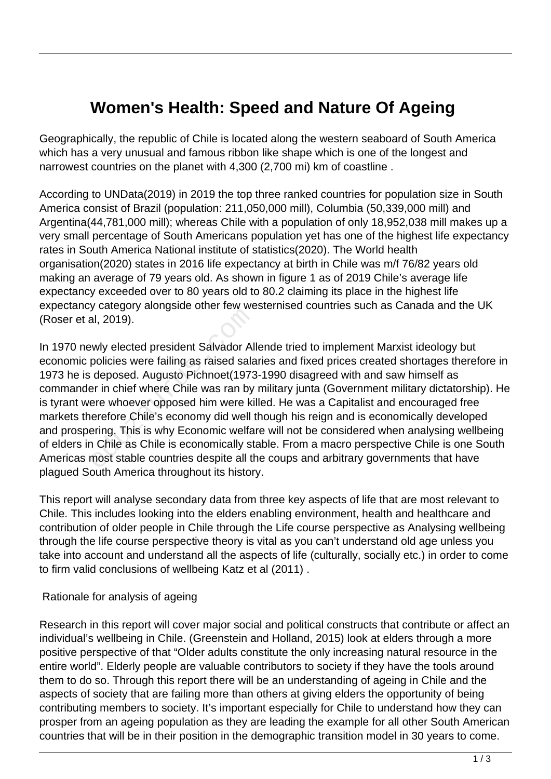# **Women's Health: Speed and Nature Of Ageing**

Geographically, the republic of Chile is located along the western seaboard of South America which has a very unusual and famous ribbon like shape which is one of the longest and narrowest countries on the planet with 4,300 (2,700 mi) km of coastline .

According to UNData(2019) in 2019 the top three ranked countries for population size in South America consist of Brazil (population: 211,050,000 mill), Columbia (50,339,000 mill) and Argentina(44,781,000 mill); whereas Chile with a population of only 18,952,038 mill makes up a very small percentage of South Americans population yet has one of the highest life expectancy rates in South America National institute of statistics(2020). The World health organisation(2020) states in 2016 life expectancy at birth in Chile was m/f 76/82 years old making an average of 79 years old. As shown in figure 1 as of 2019 Chile's average life expectancy exceeded over to 80 years old to 80.2 claiming its place in the highest life expectancy category alongside other few westernised countries such as Canada and the UK (Roser et al, 2019).

In 1970 newly elected president Salvador Allende tried to implement Marxist ideology but economic policies were failing as raised salaries and fixed prices created shortages therefore in 1973 he is deposed. Augusto Pichnoet(1973-1990 disagreed with and saw himself as commander in chief where Chile was ran by military junta (Government military dictatorship). He is tyrant were whoever opposed him were killed. He was a Capitalist and encouraged free markets therefore Chile's economy did well though his reign and is economically developed and prospering. This is why Economic welfare will not be considered when analysing wellbeing of elders in Chile as Chile is economically stable. From a macro perspective Chile is one South Americas most stable countries despite all the coups and arbitrary governments that have plagued South America throughout its history. al, 2019).<br>
Why elected president Salvador Alpolicies were failing as raised sala<br>
deposed. Augusto Pichnoet(1973<br>
Per in chief where Chile was ran by<br>
ere whoever opposed him were ki<br>
erefore Chile's economy did well t<br>
P

This report will analyse secondary data from three key aspects of life that are most relevant to Chile. This includes looking into the elders enabling environment, health and healthcare and contribution of older people in Chile through the Life course perspective as Analysing wellbeing through the life course perspective theory is vital as you can't understand old age unless you take into account and understand all the aspects of life (culturally, socially etc.) in order to come to firm valid conclusions of wellbeing Katz et al (2011) .

#### Rationale for analysis of ageing

Research in this report will cover major social and political constructs that contribute or affect an individual's wellbeing in Chile. (Greenstein and Holland, 2015) look at elders through a more positive perspective of that "Older adults constitute the only increasing natural resource in the entire world". Elderly people are valuable contributors to society if they have the tools around them to do so. Through this report there will be an understanding of ageing in Chile and the aspects of society that are failing more than others at giving elders the opportunity of being contributing members to society. It's important especially for Chile to understand how they can prosper from an ageing population as they are leading the example for all other South American countries that will be in their position in the demographic transition model in 30 years to come.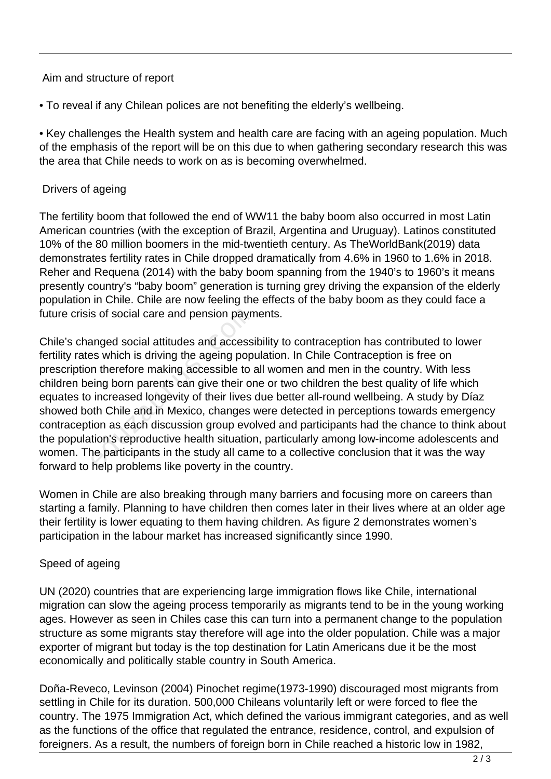#### Aim and structure of report

• To reveal if any Chilean polices are not benefiting the elderly's wellbeing.

• Key challenges the Health system and health care are facing with an ageing population. Much of the emphasis of the report will be on this due to when gathering secondary research this was the area that Chile needs to work on as is becoming overwhelmed.

#### Drivers of ageing

The fertility boom that followed the end of WW11 the baby boom also occurred in most Latin American countries (with the exception of Brazil, Argentina and Uruguay). Latinos constituted 10% of the 80 million boomers in the mid-twentieth century. As TheWorldBank(2019) data demonstrates fertility rates in Chile dropped dramatically from 4.6% in 1960 to 1.6% in 2018. Reher and Requena (2014) with the baby boom spanning from the 1940's to 1960's it means presently country's "baby boom" generation is turning grey driving the expansion of the elderly population in Chile. Chile are now feeling the effects of the baby boom as they could face a future crisis of social care and pension payments.

Chile's changed social attitudes and accessibility to contraception has contributed to lower fertility rates which is driving the ageing population. In Chile Contraception is free on prescription therefore making accessible to all women and men in the country. With less children being born parents can give their one or two children the best quality of life which equates to increased longevity of their lives due better all-round wellbeing. A study by Díaz showed both Chile and in Mexico, changes were detected in perceptions towards emergency contraception as each discussion group evolved and participants had the chance to think about the population's reproductive health situation, particularly among low-income adolescents and women. The participants in the study all came to a collective conclusion that it was the way forward to help problems like poverty in the country. s of social care and pension paym<br>anged social attitudes and accessi<br>es which is driving the ageing popi<br>n therefore making accessible to a<br>ing born parents can give their or<br>increased longevity of their lives<br>oth Chile an

Women in Chile are also breaking through many barriers and focusing more on careers than starting a family. Planning to have children then comes later in their lives where at an older age their fertility is lower equating to them having children. As figure 2 demonstrates women's participation in the labour market has increased significantly since 1990.

### Speed of ageing

UN (2020) countries that are experiencing large immigration flows like Chile, international migration can slow the ageing process temporarily as migrants tend to be in the young working ages. However as seen in Chiles case this can turn into a permanent change to the population structure as some migrants stay therefore will age into the older population. Chile was a major exporter of migrant but today is the top destination for Latin Americans due it be the most economically and politically stable country in South America.

Doña-Reveco, Levinson (2004) Pinochet regime(1973-1990) discouraged most migrants from settling in Chile for its duration. 500,000 Chileans voluntarily left or were forced to flee the country. The 1975 Immigration Act, which defined the various immigrant categories, and as well as the functions of the office that regulated the entrance, residence, control, and expulsion of foreigners. As a result, the numbers of foreign born in Chile reached a historic low in 1982,